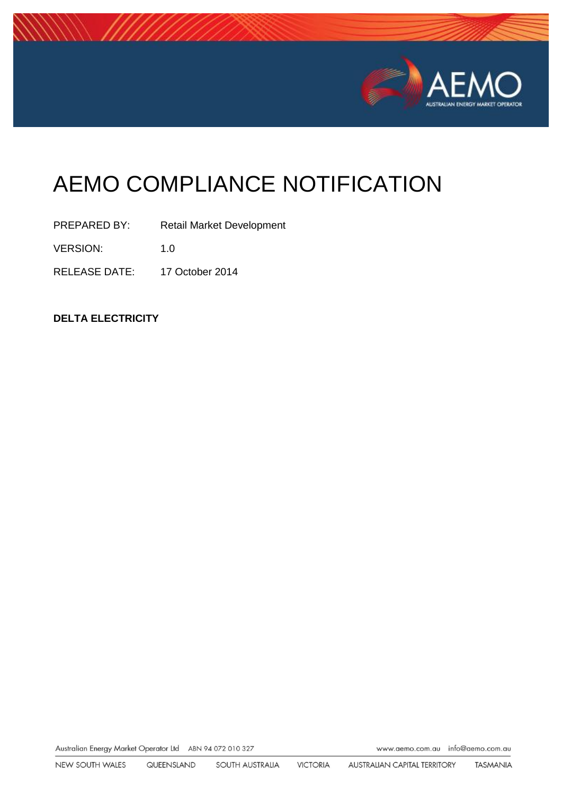

# AEMO COMPLIANCE NOTIFICATION

PREPARED BY: Retail Market Development

VERSION: 1.0

RELEASE DATE: 17 October 2014

**DELTA ELECTRICITY** 

Australian Energy Market Operator Ltd ABN 94 072 010 327

www.aemo.com.au info@aemo.com.au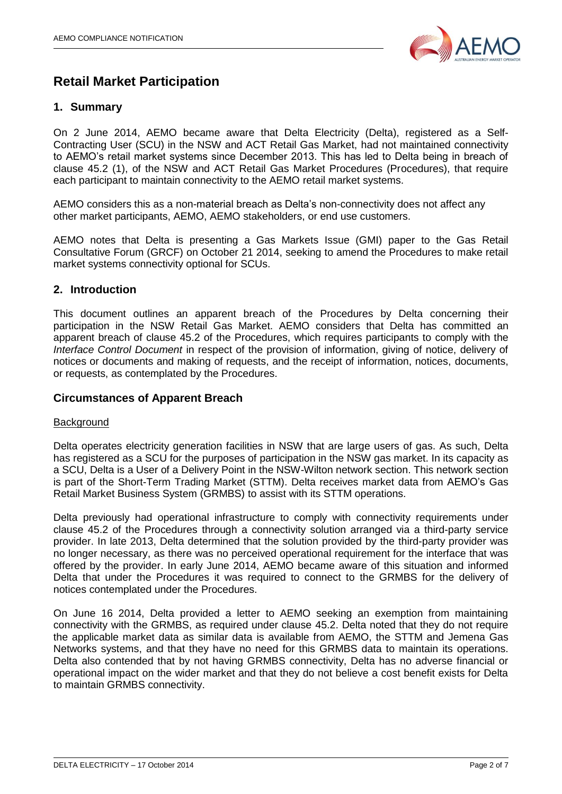

# **Retail Market Participation**

# **1. Summary**

On 2 June 2014, AEMO became aware that Delta Electricity (Delta), registered as a Self-Contracting User (SCU) in the NSW and ACT Retail Gas Market, had not maintained connectivity to AEMO's retail market systems since December 2013. This has led to Delta being in breach of clause 45.2 (1), of the NSW and ACT Retail Gas Market Procedures (Procedures), that require each participant to maintain connectivity to the AEMO retail market systems.

AEMO considers this as a non-material breach as Delta's non-connectivity does not affect any other market participants, AEMO, AEMO stakeholders, or end use customers.

AEMO notes that Delta is presenting a Gas Markets Issue (GMI) paper to the Gas Retail Consultative Forum (GRCF) on October 21 2014, seeking to amend the Procedures to make retail market systems connectivity optional for SCUs.

# **2. Introduction**

This document outlines an apparent breach of the Procedures by Delta concerning their participation in the NSW Retail Gas Market. AEMO considers that Delta has committed an apparent breach of clause 45.2 of the Procedures, which requires participants to comply with the *Interface Control Document* in respect of the provision of information, giving of notice, delivery of notices or documents and making of requests, and the receipt of information, notices, documents, or requests, as contemplated by the Procedures.

# **Circumstances of Apparent Breach**

## **Background**

Delta operates electricity generation facilities in NSW that are large users of gas. As such, Delta has registered as a SCU for the purposes of participation in the NSW gas market. In its capacity as a SCU, Delta is a User of a Delivery Point in the NSW-Wilton network section. This network section is part of the Short-Term Trading Market (STTM). Delta receives market data from AEMO's Gas Retail Market Business System (GRMBS) to assist with its STTM operations.

Delta previously had operational infrastructure to comply with connectivity requirements under clause 45.2 of the Procedures through a connectivity solution arranged via a third-party service provider. In late 2013, Delta determined that the solution provided by the third-party provider was no longer necessary, as there was no perceived operational requirement for the interface that was offered by the provider. In early June 2014, AEMO became aware of this situation and informed Delta that under the Procedures it was required to connect to the GRMBS for the delivery of notices contemplated under the Procedures.

On June 16 2014, Delta provided a letter to AEMO seeking an exemption from maintaining connectivity with the GRMBS, as required under clause 45.2. Delta noted that they do not require the applicable market data as similar data is available from AEMO, the STTM and Jemena Gas Networks systems, and that they have no need for this GRMBS data to maintain its operations. Delta also contended that by not having GRMBS connectivity, Delta has no adverse financial or operational impact on the wider market and that they do not believe a cost benefit exists for Delta to maintain GRMBS connectivity.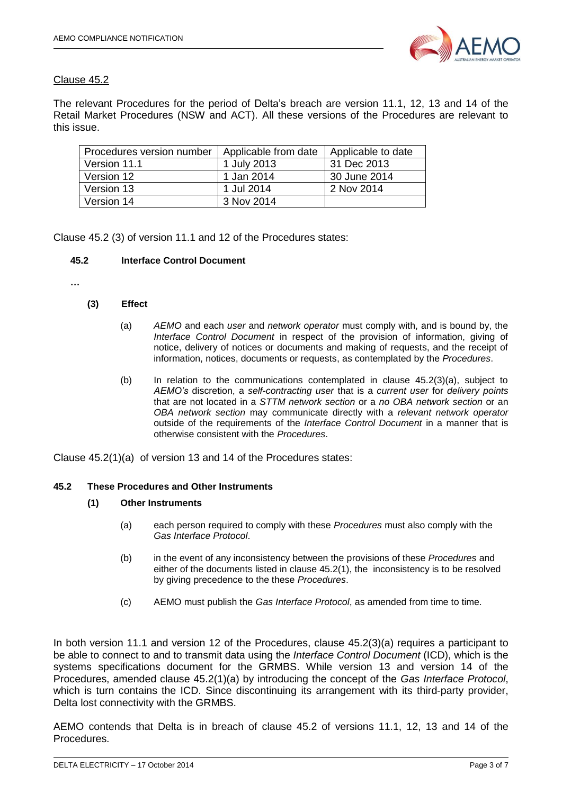

# Clause 45.2

The relevant Procedures for the period of Delta's breach are version 11.1, 12, 13 and 14 of the Retail Market Procedures (NSW and ACT). All these versions of the Procedures are relevant to this issue.

| Procedures version number | Applicable from date | Applicable to date |
|---------------------------|----------------------|--------------------|
| Version 11.1              | 1 July 2013          | 31 Dec 2013        |
| Version 12                | 1 Jan 2014           | 30 June 2014       |
| Version 13                | 1 Jul 2014           | 2 Nov 2014         |
| Version 14                | 3 Nov 2014           |                    |

Clause 45.2 (3) of version 11.1 and 12 of the Procedures states:

#### **45.2 Interface Control Document**

**…**

#### **(3) Effect**

- (a) *AEMO* and each *user* and *network operator* must comply with, and is bound by, the *Interface Control Document* in respect of the provision of information, giving of notice, delivery of notices or documents and making of requests, and the receipt of information, notices, documents or requests, as contemplated by the *Procedures*.
- (b) In relation to the communications contemplated in clause  $45.2(3)(a)$ , subject to *AEMO's* discretion, a *self-contracting user* that is a *current user* for *delivery points* that are not located in a *STTM network section* or a *no OBA network section* or an *OBA network section* may communicate directly with a *relevant network operator* outside of the requirements of the *Interface Control Document* in a manner that is otherwise consistent with the *Procedures*.

Clause 45.2(1)(a) of version 13 and 14 of the Procedures states:

#### **45.2 These Procedures and Other Instruments**

#### **(1) Other Instruments**

- (a) each person required to comply with these *Procedures* must also comply with the *Gas Interface Protocol*.
- (b) in the event of any inconsistency between the provisions of these *Procedures* and either of the documents listed in clause 45.2(1), the inconsistency is to be resolved by giving precedence to the these *Procedures*.
- (c) AEMO must publish the *Gas Interface Protocol*, as amended from time to time.

In both version 11.1 and version 12 of the Procedures, clause 45.2(3)(a) requires a participant to be able to connect to and to transmit data using the *Interface Control Document* (ICD), which is the systems specifications document for the GRMBS. While version 13 and version 14 of the Procedures, amended clause 45.2(1)(a) by introducing the concept of the *Gas Interface Protocol*, which is turn contains the ICD. Since discontinuing its arrangement with its third-party provider, Delta lost connectivity with the GRMBS.

AEMO contends that Delta is in breach of clause 45.2 of versions 11.1, 12, 13 and 14 of the Procedures.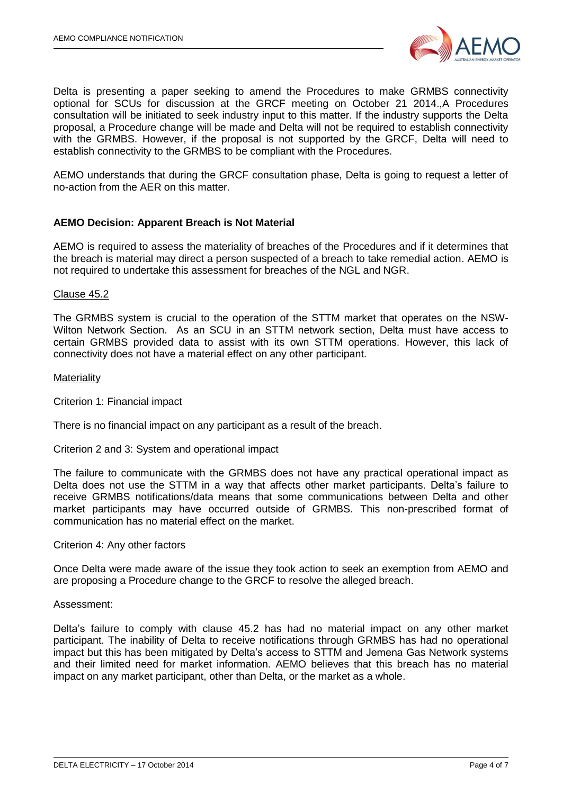

Delta is presenting a paper seeking to amend the Procedures to make GRMBS connectivity optional for SCUs for discussion at the GRCF meeting on October 21 2014.,A Procedures consultation will be initiated to seek industry input to this matter. If the industry supports the Delta proposal, a Procedure change will be made and Delta will not be required to establish connectivity with the GRMBS. However, if the proposal is not supported by the GRCF, Delta will need to establish connectivity to the GRMBS to be compliant with the Procedures.

AEMO understands that during the GRCF consultation phase, Delta is going to request a letter of no-action from the AER on this matter.

## **AEMO Decision: Apparent Breach is Not Material**

AEMO is required to assess the materiality of breaches of the Procedures and if it determines that the breach is material may direct a person suspected of a breach to take remedial action. AEMO is not required to undertake this assessment for breaches of the NGL and NGR.

#### Clause 45.2

The GRMBS system is crucial to the operation of the STTM market that operates on the NSW-Wilton Network Section. As an SCU in an STTM network section, Delta must have access to certain GRMBS provided data to assist with its own STTM operations. However, this lack of connectivity does not have a material effect on any other participant.

#### **Materiality**

Criterion 1: Financial impact

There is no financial impact on any participant as a result of the breach.

Criterion 2 and 3: System and operational impact

The failure to communicate with the GRMBS does not have any practical operational impact as Delta does not use the STTM in a way that affects other market participants. Delta's failure to receive GRMBS notifications/data means that some communications between Delta and other market participants may have occurred outside of GRMBS. This non-prescribed format of communication has no material effect on the market.

#### Criterion 4: Any other factors

Once Delta were made aware of the issue they took action to seek an exemption from AEMO and are proposing a Procedure change to the GRCF to resolve the alleged breach.

#### Assessment:

Delta's failure to comply with clause 45.2 has had no material impact on any other market participant. The inability of Delta to receive notifications through GRMBS has had no operational impact but this has been mitigated by Delta's access to STTM and Jemena Gas Network systems and their limited need for market information. AEMO believes that this breach has no material impact on any market participant, other than Delta, or the market as a whole.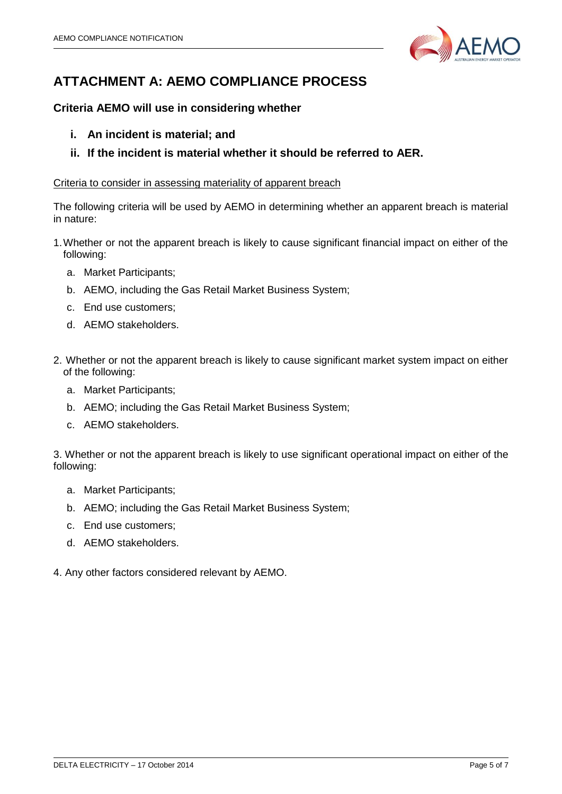

# **ATTACHMENT A: AEMO COMPLIANCE PROCESS**

# **Criteria AEMO will use in considering whether**

- **i. An incident is material; and**
- **ii. If the incident is material whether it should be referred to AER.**

# Criteria to consider in assessing materiality of apparent breach

The following criteria will be used by AEMO in determining whether an apparent breach is material in nature:

- 1.Whether or not the apparent breach is likely to cause significant financial impact on either of the following:
	- a. Market Participants;
	- b. AEMO, including the Gas Retail Market Business System;
	- c. End use customers;
	- d. AEMO stakeholders.
- 2. Whether or not the apparent breach is likely to cause significant market system impact on either of the following:
	- a. Market Participants;
	- b. AEMO; including the Gas Retail Market Business System;
	- c. AEMO stakeholders.

3. Whether or not the apparent breach is likely to use significant operational impact on either of the following:

- a. Market Participants;
- b. AEMO; including the Gas Retail Market Business System;
- c. End use customers;
- d. AEMO stakeholders.
- 4. Any other factors considered relevant by AEMO.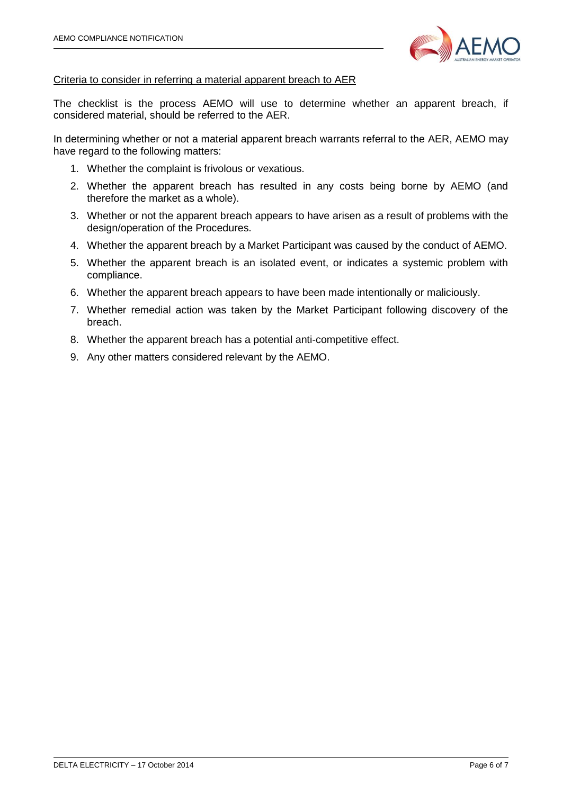

## Criteria to consider in referring a material apparent breach to AER

The checklist is the process AEMO will use to determine whether an apparent breach, if considered material, should be referred to the AER.

In determining whether or not a material apparent breach warrants referral to the AER, AEMO may have regard to the following matters:

- 1. Whether the complaint is frivolous or vexatious.
- 2. Whether the apparent breach has resulted in any costs being borne by AEMO (and therefore the market as a whole).
- 3. Whether or not the apparent breach appears to have arisen as a result of problems with the design/operation of the Procedures.
- 4. Whether the apparent breach by a Market Participant was caused by the conduct of AEMO.
- 5. Whether the apparent breach is an isolated event, or indicates a systemic problem with compliance.
- 6. Whether the apparent breach appears to have been made intentionally or maliciously.
- 7. Whether remedial action was taken by the Market Participant following discovery of the breach.
- 8. Whether the apparent breach has a potential anti-competitive effect.
- 9. Any other matters considered relevant by the AEMO.